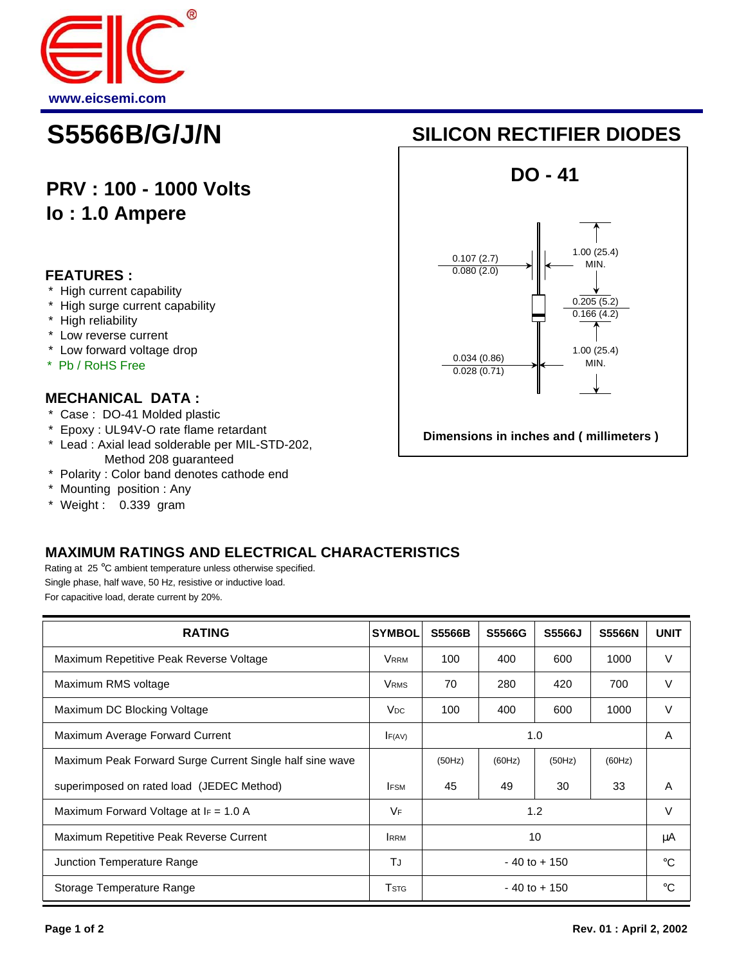

# **PRV : 100 - 1000 Volts Io : 1.0 Ampere**

### **FEATURES :**

- \* High current capability
- \* High surge current capability
- \* High reliability
- \* Low reverse current
- \* Low forward voltage drop
- \* Pb / RoHS Free

#### **MECHANICAL DATA :**

- \* Case : DO-41 Molded plastic
- \* Epoxy : UL94V-O rate flame retardant
- \* Lead : Axial lead solderable per MIL-STD-202, Method 208 guaranteed
- \* Polarity : Color band denotes cathode end
- \* Mounting position : Any
- \* Weight : 0.339 gram

## **MAXIMUM RATINGS AND ELECTRICAL CHARACTERISTICS**

Rating at 25 °C ambient temperature unless otherwise specified. Single phase, half wave, 50 Hz, resistive or inductive load. For capacitive load, derate current by 20%.

| <b>RATING</b>                                            | <b>SYMBOL</b>         | <b>S5566B</b>   | S5566G | S5566J | <b>S5566N</b> | <b>UNIT</b> |
|----------------------------------------------------------|-----------------------|-----------------|--------|--------|---------------|-------------|
| Maximum Repetitive Peak Reverse Voltage                  | <b>VRRM</b>           | 100             | 400    | 600    | 1000          | V           |
| Maximum RMS voltage                                      | <b>VRMS</b>           | 70              | 280    | 420    | 700           | V           |
| Maximum DC Blocking Voltage                              | <b>V<sub>DC</sub></b> | 100             | 400    | 600    | 1000          | V           |
| Maximum Average Forward Current                          | F(AV)                 | 1.0             |        |        |               | A           |
| Maximum Peak Forward Surge Current Single half sine wave |                       | (50Hz)          | (60Hz) | (50Hz) | (60Hz)        |             |
| superimposed on rated load (JEDEC Method)                | <b>IFSM</b>           | 45              | 49     | 30     | 33            | A           |
| Maximum Forward Voltage at $F = 1.0 A$                   | $V_F$                 | 1.2             |        |        |               | v           |
| Maximum Repetitive Peak Reverse Current                  | <b>I</b> RRM          | 10              |        |        |               | μA          |
| Junction Temperature Range                               | TJ                    | $-40$ to $+150$ |        |        |               | °C          |
| Storage Temperature Range                                | Tstg                  | $-40$ to $+150$ |        |        |               | ി           |

# **S5566B/G/J/N SILICON RECTIFIER DIODES**



**Dimensions in inches and ( millimeters )**